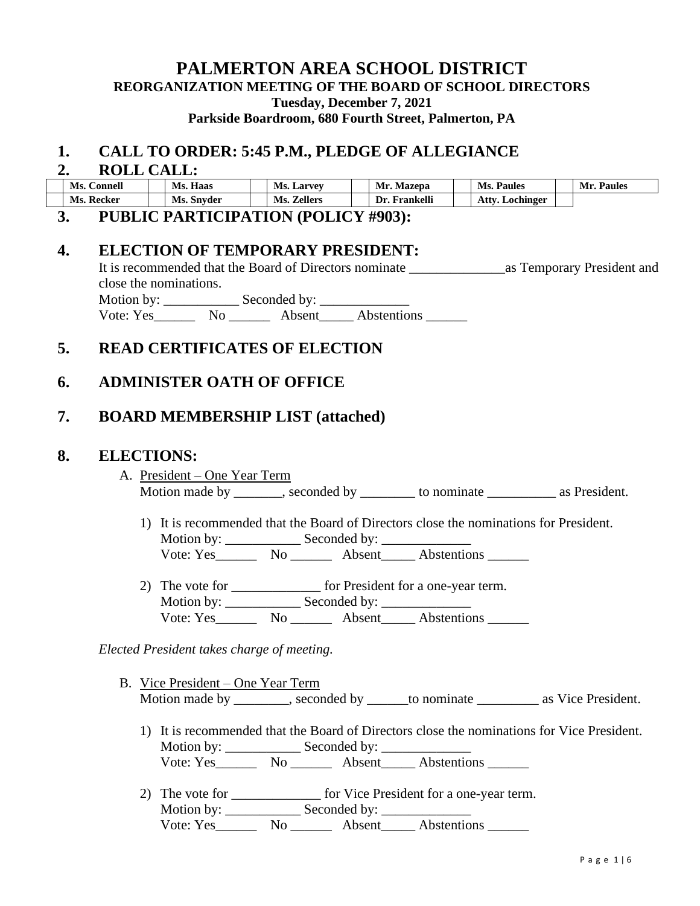## **PALMERTON AREA SCHOOL DISTRICT REORGANIZATION MEETING OF THE BOARD OF SCHOOL DIRECTORS Tuesday, December 7, 2021**

**Parkside Boardroom, 680 Fourth Street, Palmerton, PA**

## **1. CALL TO ORDER: 5:45 P.M., PLEDGE OF ALLEGIANCE**

#### **2. ROLL CALL:**

| Ms.<br><b>Connell</b> |  | Haas<br>Ms. |  | <b>Ms. Larvey</b>     |  | Mr.<br>Mazepa           |  | Ms.<br><b>Paules</b> |  | Mr.<br><b>Paules</b> |
|-----------------------|--|-------------|--|-----------------------|--|-------------------------|--|----------------------|--|----------------------|
| Ms. Recker            |  | Ms. Snyder  |  | <b>Zellers</b><br>Ms. |  | ---<br>Dr.<br>Frankelli |  | Atty<br>Lochinger    |  |                      |
|                       |  |             |  |                       |  |                         |  |                      |  |                      |

#### **3. PUBLIC PARTICIPATION (POLICY #903):**

## **4. ELECTION OF TEMPORARY PRESIDENT:**

|                        | It is recommended that the Board of Directors nominate | as Temporary President and |
|------------------------|--------------------------------------------------------|----------------------------|
| close the nominations. |                                                        |                            |
| Motion by: ________    | Seconded by:                                           |                            |
| Vote: Yes<br>Nο        | Abstentions<br>Absent                                  |                            |

# **5. READ CERTIFICATES OF ELECTION**

# **6. ADMINISTER OATH OF OFFICE**

# **7. BOARD MEMBERSHIP LIST (attached)**

#### **8. ELECTIONS:**

- A. President One Year Term Motion made by seconded by \_\_\_\_\_\_\_\_\_ to nominate as President.
	- 1) It is recommended that the Board of Directors close the nominations for President. Motion by: \_\_\_\_\_\_\_\_\_\_\_ Seconded by: \_\_\_\_\_\_\_\_\_\_\_\_\_ Vote: Yes\_\_\_\_\_\_\_\_\_ No \_\_\_\_\_\_\_\_\_ Absent\_\_\_\_\_\_ Abstentions
	- 2) The vote for \_\_\_\_\_\_\_\_\_\_\_\_\_\_ for President for a one-year term. Motion by: \_\_\_\_\_\_\_\_\_\_\_ Seconded by: \_\_\_\_\_\_\_\_\_\_\_\_\_ Vote: Yes No Absent Abstentions

*Elected President takes charge of meeting.*

- B. Vice President One Year Term Motion made by example by example by seconded by to nominate as Vice President.
	- 1) It is recommended that the Board of Directors close the nominations for Vice President. Motion by: \_\_\_\_\_\_\_\_\_\_\_ Seconded by: \_\_\_\_\_\_\_\_\_\_\_\_\_ Vote: Yes\_\_\_\_\_\_\_\_ No \_\_\_\_\_\_\_\_ Absent\_\_\_\_\_ Abstentions \_\_\_\_\_\_\_
	- 2) The vote for \_\_\_\_\_\_\_\_\_\_\_\_\_\_\_ for Vice President for a one-year term. Motion by: \_\_\_\_\_\_\_\_\_\_\_ Seconded by: \_\_\_\_\_\_\_\_\_\_\_\_\_ Vote: Yes\_\_\_\_\_\_\_\_ No \_\_\_\_\_\_\_\_ Absent\_\_\_\_\_ Abstentions \_\_\_\_\_\_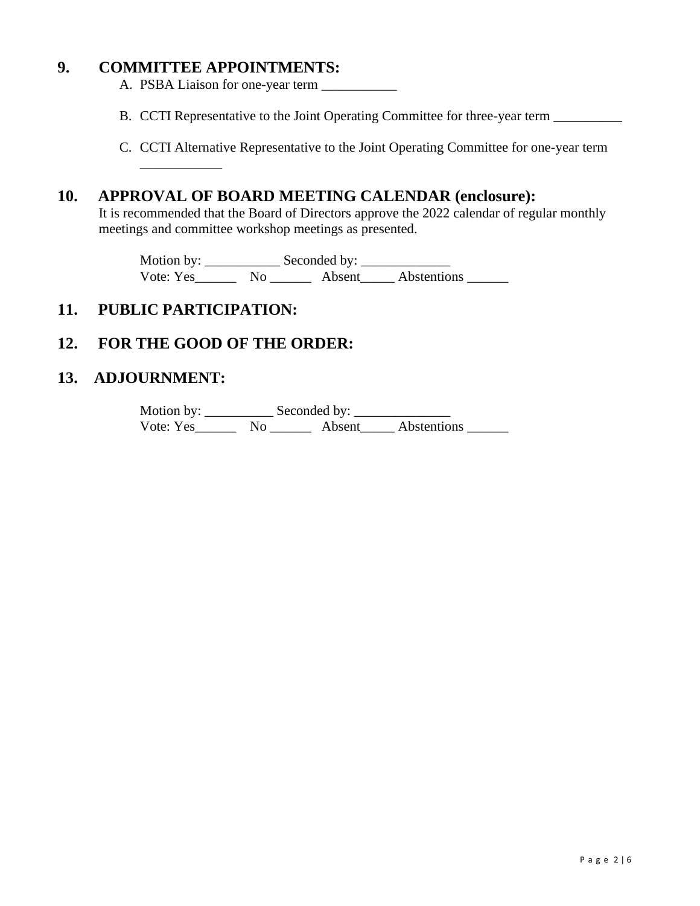## **9. COMMITTEE APPOINTMENTS:**

A. PSBA Liaison for one-year term \_\_\_\_\_\_\_\_\_\_\_

- B. CCTI Representative to the Joint Operating Committee for three-year term
- C. CCTI Alternative Representative to the Joint Operating Committee for one-year term

## **10. APPROVAL OF BOARD MEETING CALENDAR (enclosure):**

It is recommended that the Board of Directors approve the 2022 calendar of regular monthly meetings and committee workshop meetings as presented.

Motion by: \_\_\_\_\_\_\_\_\_\_\_ Seconded by: \_\_\_\_\_\_\_\_\_\_\_\_\_ Vote: Yes\_\_\_\_\_\_\_\_ No \_\_\_\_\_\_\_\_ Absent\_\_\_\_\_\_ Abstentions \_\_\_\_\_\_\_

## **11. PUBLIC PARTICIPATION:**

\_\_\_\_\_\_\_\_\_\_\_\_

## **12. FOR THE GOOD OF THE ORDER:**

## **13. ADJOURNMENT:**

Motion by: \_\_\_\_\_\_\_\_\_\_ Seconded by: \_\_\_\_\_\_\_\_\_\_\_\_\_\_ Vote: Yes\_\_\_\_\_\_\_\_ No \_\_\_\_\_\_\_\_ Absent\_\_\_\_\_\_ Abstentions \_\_\_\_\_\_\_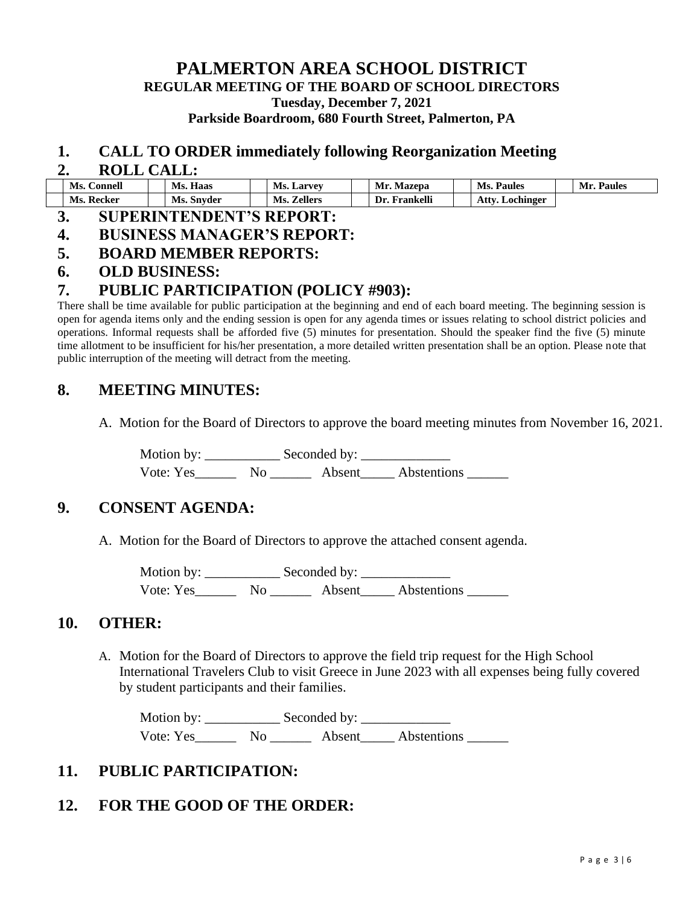**PALMERTON AREA SCHOOL DISTRICT REGULAR MEETING OF THE BOARD OF SCHOOL DIRECTORS Tuesday, December 7, 2021**

**Parkside Boardroom, 680 Fourth Street, Palmerton, PA**

#### **1. CALL TO ORDER immediately following Reorganization Meeting**

#### **2. ROLL CALL:**

| Ms.<br>. .'onnell | Haas<br>Ms. | Ms.<br><b>Larvey</b> | Mr<br>Mazepa     | Ms.<br><b>Paules</b> | Paules<br>Mn |
|-------------------|-------------|----------------------|------------------|----------------------|--------------|
| Ms.<br>Recker     | Ms. Snyder  | Ms.<br>Zellers       | Frankelli<br>Dr. | Attxr<br>Lochinger   |              |

#### **3. SUPERINTENDENT'S REPORT:**

- **4. BUSINESS MANAGER'S REPORT:**
- **5. BOARD MEMBER REPORTS:**

### **6. OLD BUSINESS:**

## **7. PUBLIC PARTICIPATION (POLICY #903):**

There shall be time available for public participation at the beginning and end of each board meeting. The beginning session is open for agenda items only and the ending session is open for any agenda times or issues relating to school district policies and operations. Informal requests shall be afforded five (5) minutes for presentation. Should the speaker find the five (5) minute time allotment to be insufficient for his/her presentation, a more detailed written presentation shall be an option. Please note that public interruption of the meeting will detract from the meeting.

### **8. MEETING MINUTES:**

A. Motion for the Board of Directors to approve the board meeting minutes from November 16, 2021.

Motion by: \_\_\_\_\_\_\_\_\_\_\_ Seconded by: \_\_\_\_\_\_\_\_\_\_\_\_\_ Vote: Yes\_\_\_\_\_\_ No \_\_\_\_\_\_ Absent\_\_\_\_\_ Abstentions \_\_\_\_\_\_

## **9. CONSENT AGENDA:**

A. Motion for the Board of Directors to approve the attached consent agenda.

Motion by: \_\_\_\_\_\_\_\_\_\_\_ Seconded by: \_\_\_\_\_\_\_\_\_\_\_\_\_ Vote: Yes\_\_\_\_\_\_\_\_ No \_\_\_\_\_\_\_\_ Absent\_\_\_\_\_\_ Abstentions \_\_\_\_\_\_\_

#### **10. OTHER:**

A. Motion for the Board of Directors to approve the field trip request for the High School International Travelers Club to visit Greece in June 2023 with all expenses being fully covered by student participants and their families.

Motion by: \_\_\_\_\_\_\_\_\_\_\_ Seconded by: \_\_\_\_\_\_\_\_\_\_\_\_\_ Vote: Yes\_\_\_\_\_\_ No \_\_\_\_\_\_ Absent\_\_\_\_\_ Abstentions \_\_\_\_\_\_

## **11. PUBLIC PARTICIPATION:**

## **12. FOR THE GOOD OF THE ORDER:**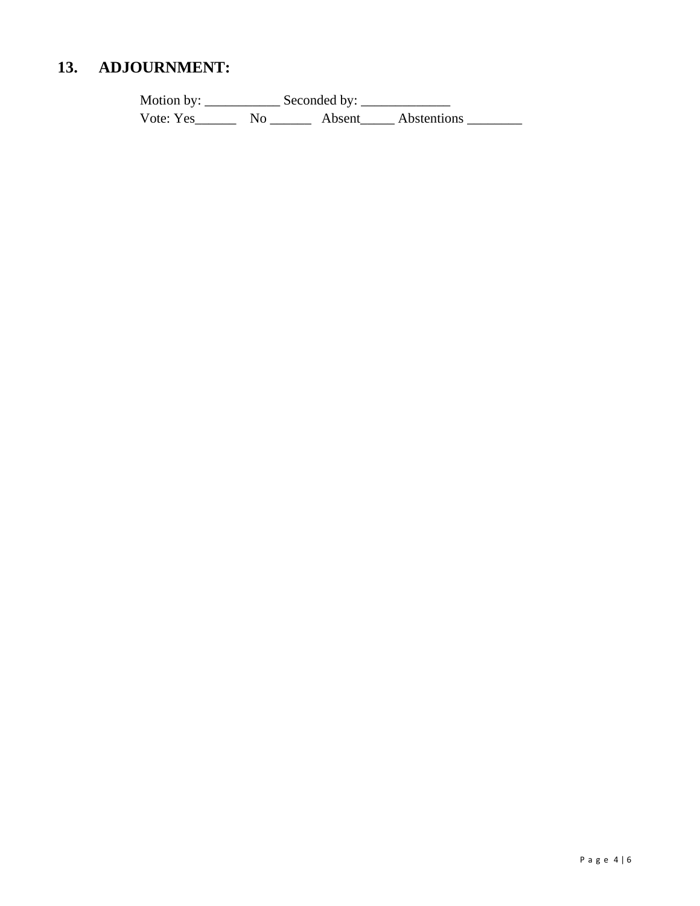#### 13. **ADJOURNMENT:**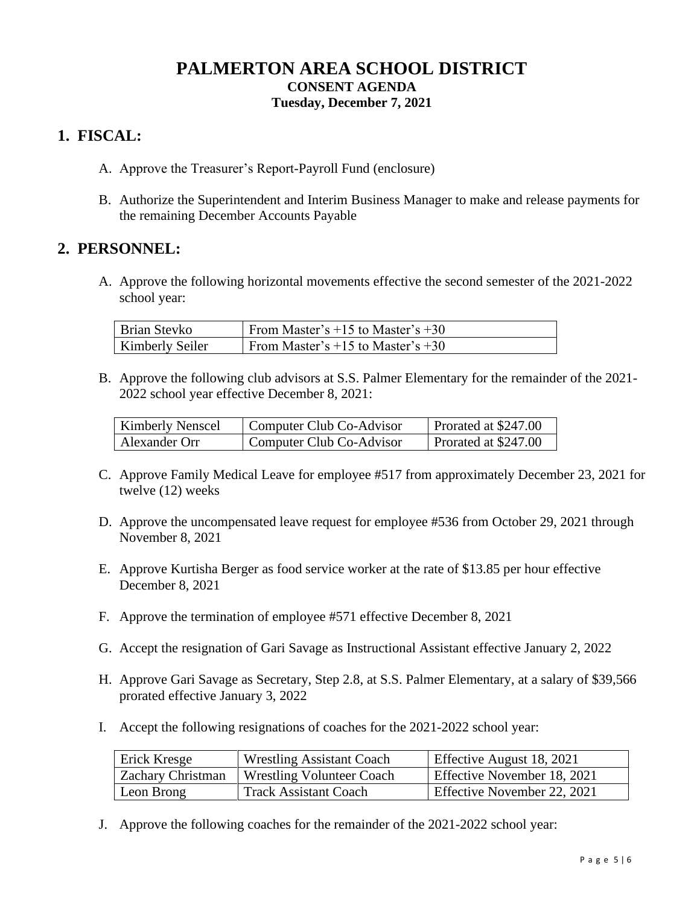# **PALMERTON AREA SCHOOL DISTRICT CONSENT AGENDA Tuesday, December 7, 2021**

## **1. FISCAL:**

- A. Approve the Treasurer's Report-Payroll Fund (enclosure)
- B. Authorize the Superintendent and Interim Business Manager to make and release payments for the remaining December Accounts Payable

## **2. PERSONNEL:**

A. Approve the following horizontal movements effective the second semester of the 2021-2022 school year:

| Brian Stevko           | From Master's $+15$ to Master's $+30$ |
|------------------------|---------------------------------------|
| <b>Kimberly Seiler</b> | From Master's $+15$ to Master's $+30$ |

B. Approve the following club advisors at S.S. Palmer Elementary for the remainder of the 2021- 2022 school year effective December 8, 2021:

| <b>Kimberly Nenscel</b> | Computer Club Co-Advisor | Prorated at \$247.00 |
|-------------------------|--------------------------|----------------------|
| Alexander Orr           | Computer Club Co-Advisor | Prorated at \$247.00 |

- C. Approve Family Medical Leave for employee #517 from approximately December 23, 2021 for twelve (12) weeks
- D. Approve the uncompensated leave request for employee #536 from October 29, 2021 through November 8, 2021
- E. Approve Kurtisha Berger as food service worker at the rate of \$13.85 per hour effective December 8, 2021
- F. Approve the termination of employee #571 effective December 8, 2021
- G. Accept the resignation of Gari Savage as Instructional Assistant effective January 2, 2022
- H. Approve Gari Savage as Secretary, Step 2.8, at S.S. Palmer Elementary, at a salary of \$39,566 prorated effective January 3, 2022
- I. Accept the following resignations of coaches for the 2021-2022 school year:

| Erick Kresge             | <b>Wrestling Assistant Coach</b> | Effective August 18, 2021   |
|--------------------------|----------------------------------|-----------------------------|
| <b>Zachary Christman</b> | <b>Wrestling Volunteer Coach</b> | Effective November 18, 2021 |
| Leon Brong               | <b>Track Assistant Coach</b>     | Effective November 22, 2021 |

J. Approve the following coaches for the remainder of the 2021-2022 school year: